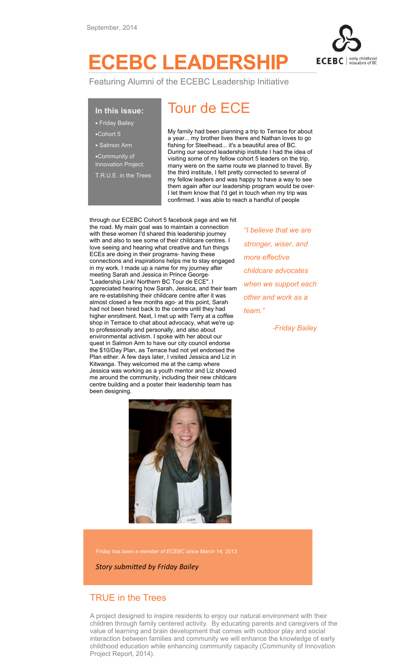

# ECEBC LEADERSHIP

Featuring Alumni of the ECEBC Leadership Initiative

### In this issue:

• Friday Bailey

- •Cohort 5
- Salmon Arm
- •Community of
- Innovation Project:
- T.R.U.E. in the Trees

## Tour de ECE

My family had been planning a trip to Terrace for about a year... my brother lives there and Nathan loves to go fishing for Steelhead... it's a beautiful area of BC. During our second leadership institute I had the idea of visiting some of my fellow cohort 5 leaders on the trip, many were on the same route we planned to travel. By the third institute, I felt pretty connected to several of my fellow leaders and was happy to have a way to see them again after our leadership program would be over-I let them know that I'd get in touch when my trip was confirmed. I was able to reach a handful of people

through our ECEBC Cohort 5 facebook page and we hit the road. My main goal was to maintain a connection with these women I'd shared this leadership journey with and also to see some of their childcare centres. I love seeing and hearing what creative and fun things ECEs are doing in their programs- having these connections and inspirations helps me to stay engaged in my work. I made up a name for my journey after meeting Sarah and Jessica in Prince George- "Leadership Link/ Northern BC Tour de ECE". I appreciated hearing how Sarah, Jessica, and their team are re-establishing their childcare centre after it was almost closed a few months ago- at this point, Sarah had not been hired back to the centre until they had higher enrollment. Next, I met up with Terry at a coffee shop in Terrace to chat about advocacy, what we're up to professionally and personally, and also about environmental activism. I spoke with her about our quest in Salmon Arm to have our city council endorse the \$10/Day Plan, as Terrace had not yet endorsed the Plan either. A few days later, I visited Jessica and Liz in Kitwanga. They welcomed me at the camp where Jessica was working as a youth mentor and Liz showed me around the community, including their new childcare centre building and a poster their leadership team has been designing.



"I believe that we are stronger, wiser, and more effective childcare advocates when we support each other and work as a team."

-Friday Bailey

Friday has been a member of ECEBC since March 14, 2013

Story submitted by Friday Bailey

### TRUE in the Trees

A project designed to inspire residents to enjoy our natural environment with their children through family centered activity. By educating parents and caregivers of the value of learning and brain development that comes with outdoor play and social interaction between families and community we will enhance the knowledge of early childhood education while enhancing community capacity (Community of Innovation Project Report, 2014).